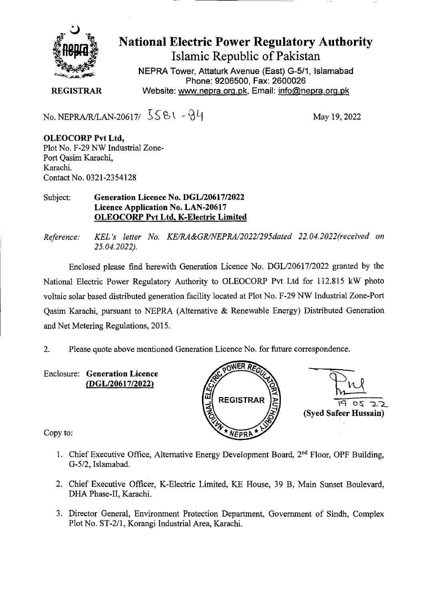

## **National Electric Power Regulatory Authority Islamic Republic of Pakistan**

**NEPRA Tower, Attaturk Avenue (East) G-5/1, Islamabad Phone: 9206500, Fax: 2600026 REGISTRAR** Website: www.nepra.org.pk, Email: info@nepra.org.pk

No. NEPRA/R/LAN-20617/  $5581 - 94$  May 19, 2022

**OLEOCORP Pvt Ltd,**  Plot No. F-29 NW Industrial Zone-Port Qasim Karachi, Karachi. Contact No. 0321-23 54128

## Subject: **Generation Licence No.** *DGL12061712022*  **Licence Application No. LAN-20617 OLEOCORP Pvt Ltd. K-Electric Limited**

*Reference: KEL 's letter No. KE/RA&GR/NEPRA/2022/295dated 22.04. 2022(received on 25.04.2022).* 

Enclosed please find herewith Generation Licence No. DGL/20617/2022 granted by the National Electric Power Regulatory Authority to OLEOCORP Pvt Ltd for 112.815 kW photo voltaic solar based distributed generation facility located at Plot No. F-29 NW Industrial Zone-Port Qasim Karachi, pursuant to NEPRA (Alternative & Renewable Energy) Distributed Generation and Net Metering Regulations, 2015.

2. Please quote above mentioned Generation Licence No. for future correspondence.

Enclosure: **Generation Licence (DGL/20617/2022)** 





Copy to:

- 1. Chief Executive Office, Alternative Energy Development Board, 2<sup>nd</sup> Floor, OPF Building, G-5/2, Islamabad.
- 2. Chief Executive Officer, K-Electric Limited, KE House, 39 B, Main Sunset Boulevard, DHA Phase-IT, Karachi.
- 3. Director General, Enviromnent Protection Department, Government of Sindh, Complex Plot No. ST-2/1, Korangi Industrial Area, Karachi.